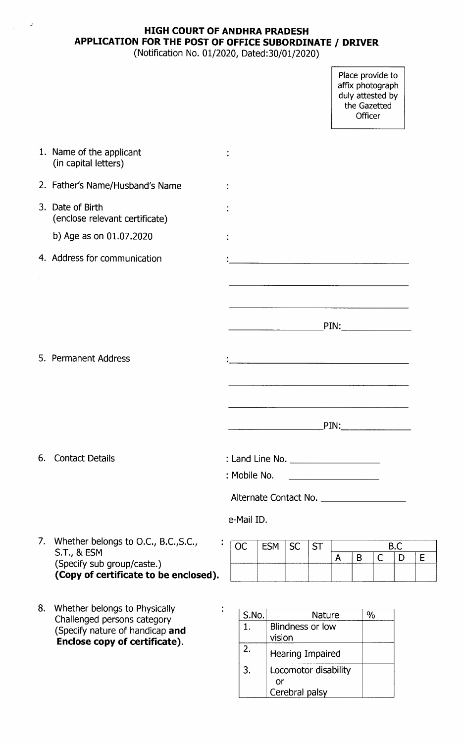# **HIGH COURT OF ANDHRA PRADESH APPLICATION FOR THE POST OF OFFICE SUBORDINATE** *I* **DRIVER**

(Notification No. 01/2020, Dated:30/01/2020)

Place provide to affix photograpl duly attested by the Gazetted Officer

|    | 1. Name of the applicant<br>(in capital letters)               |              |       |            |                                                                                                                       |           |              |   |                                  |     |             |
|----|----------------------------------------------------------------|--------------|-------|------------|-----------------------------------------------------------------------------------------------------------------------|-----------|--------------|---|----------------------------------|-----|-------------|
|    | 2. Father's Name/Husband's Name                                |              |       |            |                                                                                                                       |           |              |   |                                  |     |             |
|    | 3. Date of Birth<br>(enclose relevant certificate)             |              |       |            |                                                                                                                       |           |              |   |                                  |     |             |
|    | b) Age as on 01.07.2020                                        |              |       |            |                                                                                                                       |           |              |   |                                  |     |             |
|    | 4. Address for communication                                   |              |       |            |                                                                                                                       |           |              |   |                                  |     |             |
|    |                                                                |              |       |            |                                                                                                                       |           |              |   |                                  |     |             |
|    |                                                                |              |       |            | <u> 1980 - January Amerikaanse konstantinople (h. 1980)</u>                                                           |           |              |   |                                  |     |             |
|    |                                                                |              |       |            | <u> 1980 - Johann Barnett, fransk komponent (</u>                                                                     |           |              |   | $\mathsf{PIN:}\_\_\_\_\_\_\_\_\$ |     |             |
|    |                                                                |              |       |            |                                                                                                                       |           |              |   |                                  |     |             |
|    | 5. Permanent Address                                           |              |       |            |                                                                                                                       |           |              |   |                                  |     |             |
|    |                                                                |              |       |            | <u> 1989 - Johann John Stein, mars ar yn y brening yn y brening yn y brening y brening yn y brening yn y brening </u> |           |              |   |                                  |     |             |
|    |                                                                |              |       |            |                                                                                                                       |           |              |   |                                  |     |             |
|    |                                                                |              |       |            |                                                                                                                       |           |              |   | $\text{PIN:}\$                   |     |             |
| 6. | <b>Contact Details</b>                                         |              |       |            |                                                                                                                       |           |              |   |                                  |     |             |
|    |                                                                | : Mobile No. |       |            |                                                                                                                       |           |              |   |                                  |     |             |
|    |                                                                |              |       |            |                                                                                                                       |           |              |   |                                  |     |             |
|    |                                                                | e-Mail ID.   |       |            |                                                                                                                       |           |              |   |                                  |     |             |
| 7. | Whether belongs to O.C., B.C., S.C.,                           | <b>OC</b>    |       | <b>ESM</b> | <b>SC</b>                                                                                                             | <b>ST</b> |              |   |                                  | B.C |             |
|    | <b>S.T., &amp; ESM</b><br>(Specify sub group/caste.)           |              |       |            |                                                                                                                       |           | $\mathsf{A}$ | B | $\mathsf C$                      | D   | $\mathsf E$ |
|    | (Copy of certificate to be enclosed).                          |              |       |            |                                                                                                                       |           |              |   |                                  |     |             |
| 8. | Whether belongs to Physically                                  |              |       |            |                                                                                                                       |           |              |   |                                  |     |             |
|    | Challenged persons category<br>(Specify nature of handicap and | 1.           | S.No. |            | Blindness or low                                                                                                      | Nature    |              |   | %                                |     |             |
|    | Enclose copy of certificate).                                  | 2.           |       | vision     | Hearing Impaired                                                                                                      |           |              |   |                                  |     |             |
|    |                                                                | 3.           |       |            | Locomotor disability                                                                                                  |           |              |   |                                  |     |             |
|    |                                                                |              |       | or         | Cerebral palsy                                                                                                        |           |              |   |                                  |     |             |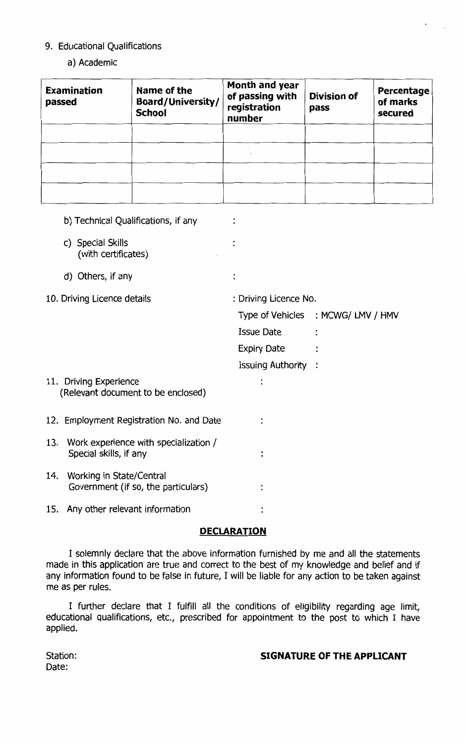#### 9. Educational Qualifications

### a) Academic

| <b>Examination</b><br>passed | Name of the<br><b>Board/University/</b><br><b>School</b> | Month and year<br>of passing with<br>registration<br>number | <b>Division of</b><br>pass | Percentage<br>of marks<br>secured |  |  |
|------------------------------|----------------------------------------------------------|-------------------------------------------------------------|----------------------------|-----------------------------------|--|--|
|                              |                                                          |                                                             |                            |                                   |  |  |
|                              |                                                          |                                                             |                            |                                   |  |  |
|                              |                                                          |                                                             |                            |                                   |  |  |
|                              |                                                          |                                                             |                            |                                   |  |  |

|                             | b) Technical Qualifications, if any                             |                       |                                   |  |  |  |  |
|-----------------------------|-----------------------------------------------------------------|-----------------------|-----------------------------------|--|--|--|--|
|                             | c) Special Skills<br>(with certificates)                        |                       |                                   |  |  |  |  |
|                             | d) Others, if any                                               | ÷                     |                                   |  |  |  |  |
| 10. Driving Licence details |                                                                 | : Driving Licence No. |                                   |  |  |  |  |
|                             |                                                                 |                       | Type of Vehicles : MCWG/LMV / HMV |  |  |  |  |
|                             |                                                                 | <b>Issue Date</b>     |                                   |  |  |  |  |
|                             |                                                                 | <b>Expiry Date</b>    |                                   |  |  |  |  |
|                             |                                                                 | Issuing Authority :   |                                   |  |  |  |  |
|                             | 11. Driving Experience<br>(Relevant document to be enclosed)    |                       |                                   |  |  |  |  |
|                             | 12. Employment Registration No. and Date                        |                       |                                   |  |  |  |  |
| 13.                         | Work experience with specialization /<br>Special skills, if any |                       |                                   |  |  |  |  |
| 14.                         | Working in State/Central<br>Government (if so, the particulars) |                       |                                   |  |  |  |  |
| 15.                         | Any other relevant information                                  |                       |                                   |  |  |  |  |
|                             |                                                                 |                       |                                   |  |  |  |  |

### **DECLARATION**

I solemnly declare that the above information furnished by me and all the statements made in this application are true and correct to the best of my knowledge and belief and if any information found to be false in future, I will be liable for any action to be taken against me as per rules.

I further declare that I fulfill all the conditions of eligibility regarding age limit, educational qualifications, etc., prescribed for appointment to the post to which I have applied.

### **SIGNATURE OF THE APPLICANT**

Station: Date: